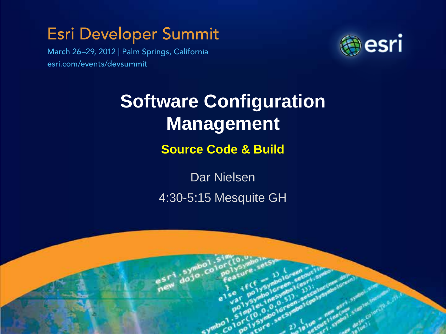# Esri Developer Summit

March 26-29, 2012 | Palm Springs, California esri.com/events/devsummit



# **Software Configuration Management Source Code & Build**

Dar Nielsen 4:30-5:15 Mesquite GH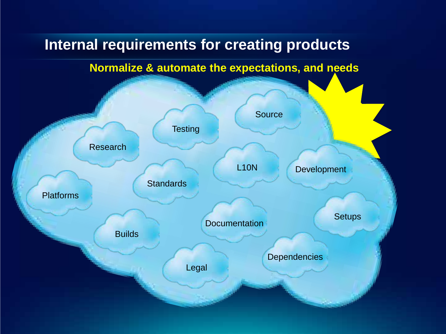# **Internal requirements for creating products** Research Development Platforms **Standards Testing Dependencies Source Setups** Builds Legal L10N **Normalize & automate the expectations, and needs Documentation**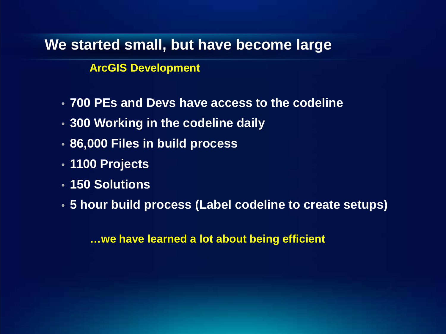**We started small, but have become large**

**ArcGIS Development**

- **700 PEs and Devs have access to the codeline**
- **300 Working in the codeline daily**
- **86,000 Files in build process**
- **1100 Projects**
- **150 Solutions**
- **5 hour build process (Label codeline to create setups)**

**…we have learned a lot about being efficient**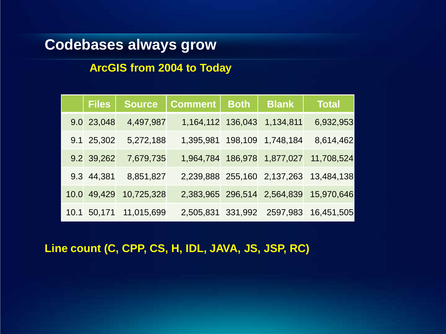## **Codebases always grow**

### **ArcGIS from 2004 to Today**

| <u> Files</u> | <b>Source</b> | <b>Comment</b> | <b>Both</b> | <b>Blank</b>                | <b>Total</b>                           |
|---------------|---------------|----------------|-------------|-----------------------------|----------------------------------------|
| 9.0 23,048    | 4,497,987     |                |             | 1,164,112 136,043 1,134,811 | 6,932,953                              |
| 9.1 25,302    | 5,272,188     | 1,395,981      |             | 198,109 1,748,184           | 8,614,462                              |
| 9.2 39,262    | 7,679,735     | 1,964,784      |             | 186,978 1,877,027           | 11,708,524                             |
| 9.3 44,381    | 8,851,827     |                |             |                             | 2,239,888 255,160 2,137,263 13,484,138 |
| 10.0 49,429   | 10,725,328    |                |             |                             | 2,383,965 296,514 2,564,839 15,970,646 |
| 10.1 50,171   | 11,015,699    |                |             |                             | 2,505,831 331,992 2597,983 16,451,505  |

**Line count (C, CPP, CS, H, IDL, JAVA, JS, JSP, RC)**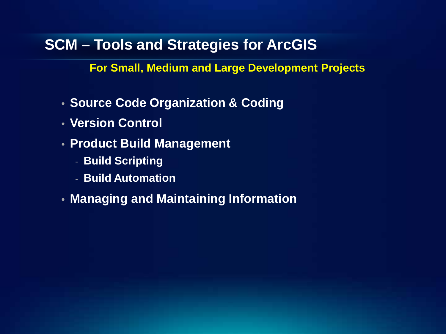## **SCM – Tools and Strategies for ArcGIS**

**For Small, Medium and Large Development Projects**

- **Source Code Organization & Coding**
- **Version Control**
- **Product Build Management**
	- **Build Scripting**
	- **Build Automation**
- **Managing and Maintaining Information**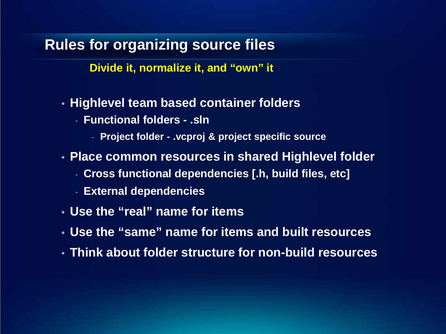## **Rules for organizing source files**

**Divide it, normalize it, and "own" it**

- **Highlevel team based container folders**
	- **Functional folders - .sln**
		- **Project folder - .vcproj & project specific source**
- **Place common resources in shared Highlevel folder**
	- **Cross functional dependencies [.h, build files, etc]**
	- **External dependencies**
- **Use the "real" name for items**
- **Use the "same" name for items and built resources**
- **Think about folder structure for non-build resources**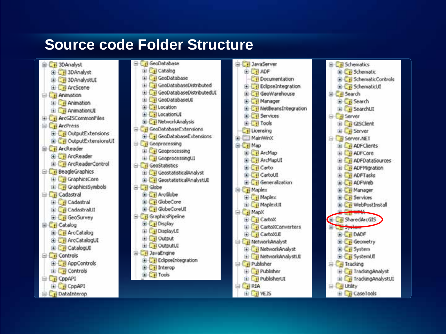## **Source code Folder Structure**

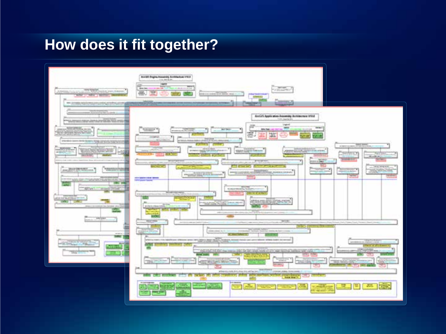## **How does it fit together?**

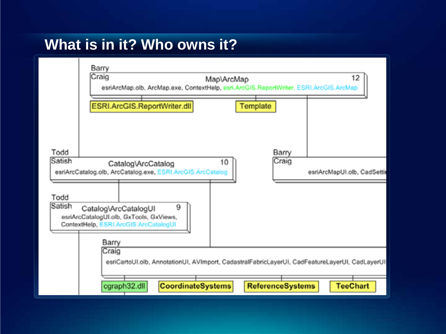## **What is in it? Who owns it?**

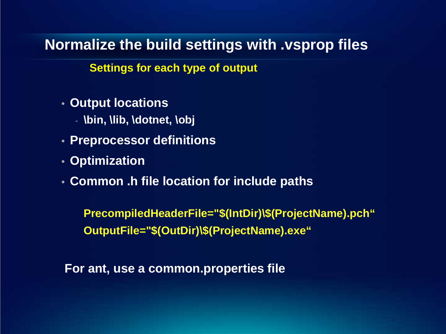## **Normalize the build settings with .vsprop files**

**Settings for each type of output**

- **Output locations**
	- **\bin, \lib, \dotnet, \obj**
- **Preprocessor definitions**
- **Optimization**
- **Common .h file location for include paths**

**PrecompiledHeaderFile="\$(IntDir)\\$(ProjectName).pch" OutputFile="\$(OutDir)\\$(ProjectName).exe"**

**For ant, use a common.properties file**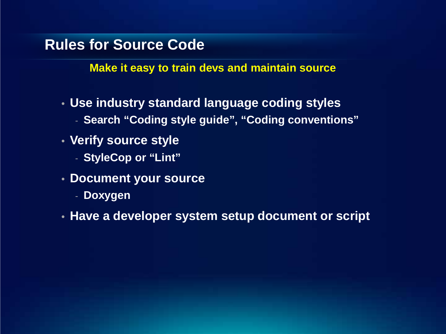## **Rules for Source Code**

**Make it easy to train devs and maintain source**

- **Use industry standard language coding styles**
	- **Search "Coding style guide", "Coding conventions"**
- **Verify source style**
	- **StyleCop or "Lint"**
- **Document your source**
	- **Doxygen**
- **Have a developer system setup document or script**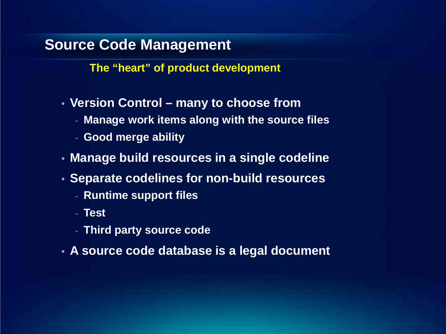## **Source Code Management**

**The "heart" of product development**

- **Version Control – many to choose from**
	- **Manage work items along with the source files**
	- **Good merge ability**
- **Manage build resources in a single codeline**
- **Separate codelines for non-build resources**
	- **Runtime support files**
	- **Test**
	- **Third party source code**
- **A source code database is a legal document**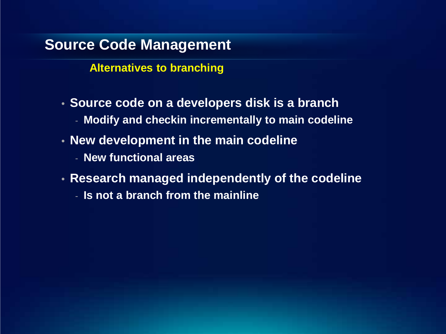## **Source Code Management**

### **Alternatives to branching**

- **Source code on a developers disk is a branch**
	- **Modify and checkin incrementally to main codeline**
- **New development in the main codeline**
	- **New functional areas**
- **Research managed independently of the codeline**
	- **Is not a branch from the mainline**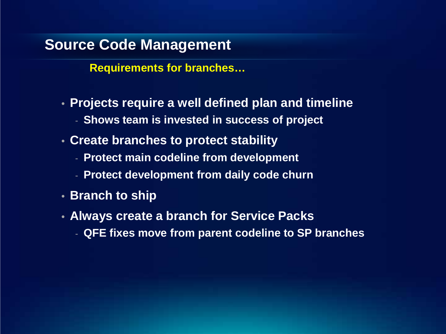## **Source Code Management**

### **Requirements for branches…**

- **Projects require a well defined plan and timeline**
	- **Shows team is invested in success of project**
- **Create branches to protect stability**
	- **Protect main codeline from development**
	- **Protect development from daily code churn**
- **Branch to ship**
- **Always create a branch for Service Packs**
	- **QFE fixes move from parent codeline to SP branches**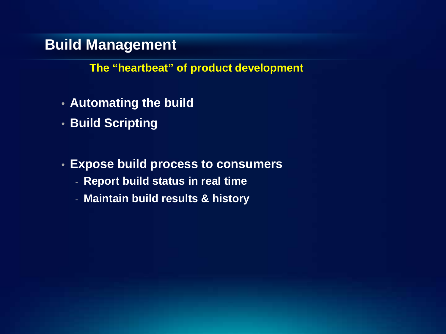## **Build Management**

**The "heartbeat" of product development**

- **Automating the build**
- **Build Scripting**
- **Expose build process to consumers**
	- **Report build status in real time**
	- **Maintain build results & history**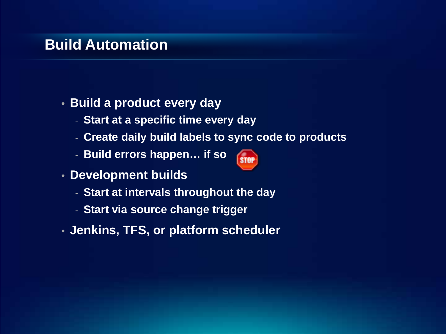## **Build Automation**

- **Build a product every day**
	- **Start at a specific time every day**
	- **Create daily build labels to sync code to products**

**STOP** 

- **Build errors happen… if so**
- **Development builds**
	- **Start at intervals throughout the day**
	- **Start via source change trigger**
- **Jenkins, TFS, or platform scheduler**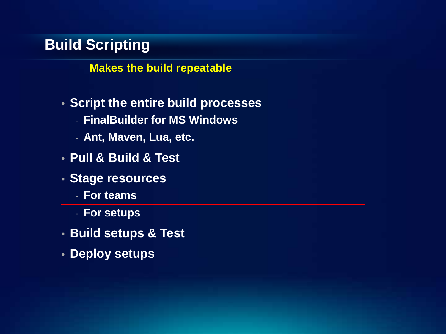## **Build Scripting**

### **Makes the build repeatable**

- **Script the entire build processes**
	- **FinalBuilder for MS Windows**
	- **Ant, Maven, Lua, etc.**
- **Pull & Build & Test**
- **Stage resources** 
	- **For teams**
	- **For setups**
- **Build setups & Test**
- **Deploy setups**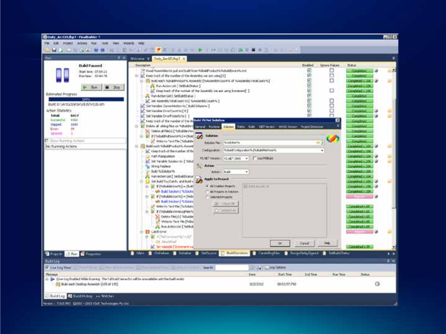

Version: 7.0.0.990 CCTO1 - 2010 PSoft Technologies Pty 116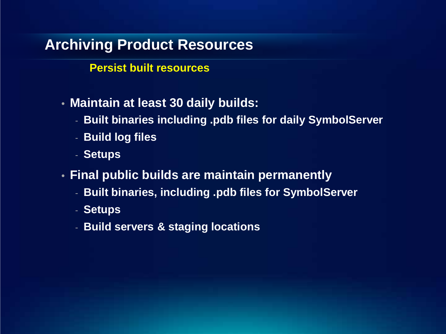## **Archiving Product Resources**

### **Persist built resources**

- **Maintain at least 30 daily builds:**
	- **Built binaries including .pdb files for daily SymbolServer**
	- **Build log files**
	- **Setups**
- **Final public builds are maintain permanently**
	- **Built binaries, including .pdb files for SymbolServer**
	- **Setups**
	- **Build servers & staging locations**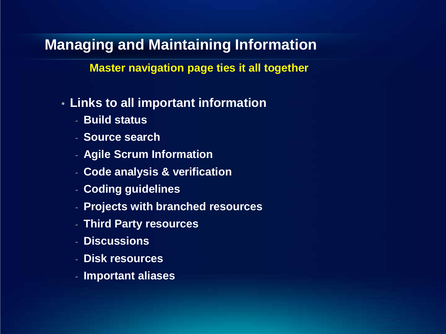## **Managing and Maintaining Information**

### **Master navigation page ties it all together**

- **Links to all important information**
	- **Build status**
	- **Source search**
	- **Agile Scrum Information**
	- **Code analysis & verification**
	- **Coding guidelines**
	- **Projects with branched resources**
	- **Third Party resources**
	- **Discussions**
	- **Disk resources**
	- **Important aliases**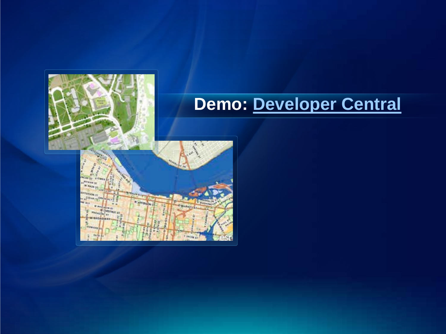

# **Demo: [Developer Central](http://devinfo/sites/DeveloperCentral/default.aspx)**

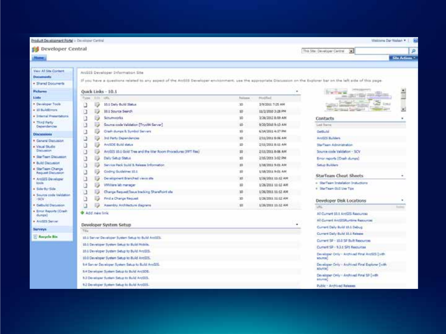Product Development Porte' > Developer Central Welcome Dar Nielsen . | **19** Developer Central This Star Developer Central [5] ø Site Actions \* **View All Site Content** Avditi Developer Information line **Documunts** If you have a questions related to any aspect of the Atctit6 Developer environment, use the appropriate Obcussion on the Explorer ber on the kit side of this page. . Shaned Documents h **Pictures** Ouick Links - 10.1 **Links** Type WHAT LIKE Modified **Buildings** . Developer Tools 19 15.1 Daily Build Status 30 1/9/2011 7:25 AM ü · 10 BuildErrors **CARD SCULL** Đ а 18.1 Source Search 13 11/2/2010 3:28 PM · Internal Presentations Ð ū Smimoorks 20 3/26/2012 8:59 AM Contacts . Third Party в is. o Source code Validation (Tryoll4 Server) 9/20/2010 9:13 AM Led flume Department D Crash during & Symbol Servers  $15$ 6/14/2011 4:17 PM Gettical of а Discussions D œ, **Jrd Party Dependencies**  $12 -$ 3/11/2011 8:06 AM Arctiff Builders \* General Decussion а 63 ArcSDE Build status  $15$ 2/11/2011 8:11 AM StarTeam Administration . Visual Studio Disturbite D Ð Arctil'S 10.1 Gold Tree and the War Room Procedures (PPT fies)  $10 -$ Source code Validation - SCV 2/11/2011 8:06 AM · StarTeam Discussion s) n Daly Salid Status  $13$ 2/15/2011 1:02 PM Emprisone (Creek dumps) · Build Decussion 1Q) Service Pack build & Release Information in. o L'INVIDEI 9-DE AM Sakin Builders « StarTeam Change ü 5 Coding Guidelines 10.1  $\pm$ 1/18/2011 9-01 AM **Request Discussion** StarTeam Cheat Sheets D о Development Branchad views alla  $15$ 1/26/2011 13:12 AM \* ANGLE Developer + StarTeam Instalation Instuctions social 痧 Ω VMWare lab manager  $12$ 1/26/2011 11:12 AM # StarTeam GLO Line Tips  $-5$ de 97-5de п Ð Change Request/Sound tracking ShanePoint etc. 15 1/36/3011 11/12 AM . Source code Validation o o Find a Change Request 35 1/26/2011 11:12 AM **SSCV** Developer Disk Locations · Gallegiel Decumion α Assembly Architecture disgrems 33 5/26/2011 11:52 AM **USL** \* Error Reports (Crash Add new link All Current 10.1 And25 Resources dunce) Al Gurrent AntiltiAurtine Resources \* AndGIS Server Developer System Setup Current Daily Build 10.1 Debug **Surveys** Tile Current Daily Build 10.1 Railways **El Recycle Rin** 15.1 Server Developer System Setup to Build Arobits. Current SP - 10.0 SP Bult Reporters 10.1 Developer System Satup to Build Mobile. Current SP - 9.3.1 SP1 Resources 30.1 Developer System Setup to Build AntO15. Developer Only - Archived Final ArcSZS [wth. 10.0 Developer System Satup to Build And33L **MOUTER** 14 San er Developer System Setup to Build AntilfS. Developer Only - Andrived Final Explorer Twithsource) 1/4 Developer System Setup to Build ArcSCO. Developer Only - Archived Pinel SP [with 3.1 Developer System Setup to Build ArcGLS. **BOUNDE** 1.2 Developer System Salup to Build AroditS. Public - Anchiusci Ralesses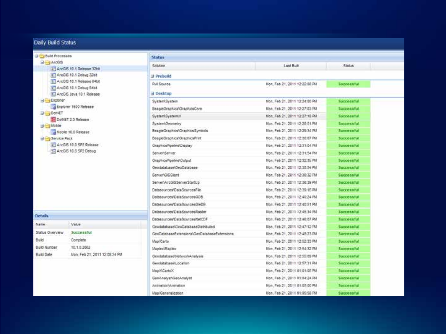| <b>Daily Build Status</b>                                                                                                                                                         |                               |                                                   |                               |                    |  |  |  |
|-----------------------------------------------------------------------------------------------------------------------------------------------------------------------------------|-------------------------------|---------------------------------------------------|-------------------------------|--------------------|--|--|--|
| Build Processes                                                                                                                                                                   |                               | <b>Status</b>                                     |                               |                    |  |  |  |
| $H = MCGS$<br>1 ArcOS 10.1 Release 32bit<br>Arouts 10.1 Debug 32tilt<br>ArcOlo 10.1 Release 64bit<br>ST ArcGG 13.1 Debug E4bit<br>E: ArcGS Java 10.1 Release<br><b>B</b> Explorer |                               | Solution                                          | Lost Buit                     | Status             |  |  |  |
|                                                                                                                                                                                   |                               | -1 Prebuild                                       |                               |                    |  |  |  |
|                                                                                                                                                                                   |                               | Pul Source                                        | Mon, Feb 21, 2011 12:22:00 PM | <b>Soccessful</b>  |  |  |  |
|                                                                                                                                                                                   |                               | B Desktop                                         |                               |                    |  |  |  |
|                                                                                                                                                                                   |                               |                                                   | Mon. Feb 21, 2011 12:24:00 PM | Successful         |  |  |  |
|                                                                                                                                                                                   | Explorer 1500 Release         | System/System                                     |                               |                    |  |  |  |
| <b>B</b> OotHET                                                                                                                                                                   |                               | BeagleGnsphicalGraphicaCore                       | Moh. Feb 21, 2011 12:27:03 PM | Successful         |  |  |  |
|                                                                                                                                                                                   | Doll/ET.2.0 Release           | System/System31                                   | Mon, Feb 21, 2011 12:27:18 PM | Sciences attal     |  |  |  |
| He Moble                                                                                                                                                                          |                               | System/Geometry                                   | Mon. Feb 21, 2011 12:28:51.PM | <b>Loccessful</b>  |  |  |  |
|                                                                                                                                                                                   | Mobile 10.0 Release           | BeagleGraphics/GraphicsSymbols                    | Mon. Feb 21, 2011 12:29:34 PM | Successful         |  |  |  |
| Service Pack                                                                                                                                                                      |                               | BeagleDraphics\OraphicsPrint                      | Mon. Feb 21, 2011 12:30:07 PM | Successitut        |  |  |  |
|                                                                                                                                                                                   | El ArcOB 10.0 SP2 Release     | GraphicaPipeline/Display                          | Mon. Feb 21, 2011 12:31:04 PM | <b>Successful</b>  |  |  |  |
| Si ArcGIS 10.0 SP2 Debug                                                                                                                                                          |                               | ServenServer                                      | Mon, Feb 21, 2011 12:31:54 PM | Successful         |  |  |  |
|                                                                                                                                                                                   |                               | GraphicaPpelneVOutput                             | Mon, Feb 21, 2011 12:32:35 PM | Successful         |  |  |  |
|                                                                                                                                                                                   |                               | Geodatabasel@edDatabase                           | Mon. Feb 21, 2011 12:36:54 PM | Successful         |  |  |  |
|                                                                                                                                                                                   |                               | Server/GSClent                                    | Mon, Feb 21, 2011 12:30:32 PM | Successful         |  |  |  |
|                                                                                                                                                                                   |                               | ServerMrpGISServerStartUp                         | Mon. Feb 21, 2011 12:36:39 PM | Successful         |  |  |  |
|                                                                                                                                                                                   |                               | Datasources/DataSourcesFile                       | Mon. Feb 21, 2011 12:39:15 PM | Successful         |  |  |  |
|                                                                                                                                                                                   |                               | Datascurces/DataScurces/3D5                       | Mon, Feb 21, 2011 12:40:24 PM | <b>Buccessful</b>  |  |  |  |
|                                                                                                                                                                                   |                               | Datasnurces/DataSources/DMDB                      | Mon, Feb 21, 2011 12:40:51 PM | <b>Buccossful</b>  |  |  |  |
|                                                                                                                                                                                   |                               | Datascurces/DataScurcesRaster                     | Mon. Feb 21, 2011 12:45:34 PM | <b>Buccessfull</b> |  |  |  |
| <b>Details</b>                                                                                                                                                                    |                               | Datasnunces/DataSounces/MetCDF                    | Mon, Feb 21, 2011 12:46:07.PM | lucressful         |  |  |  |
| <b>Name</b>                                                                                                                                                                       | Value.                        | GeodatsbaselGeoDatsbaseDatribubed                 | Mon, Feb 21, 2011 12:47:12 PM | Successful         |  |  |  |
| Status Overview                                                                                                                                                                   | Successful                    | GeoDatabaseExtensions/GeoDatabaseExtensions       | Mon. Feb 21, 2011 12:48:23 PM | Successful         |  |  |  |
| <b>Build</b>                                                                                                                                                                      | Complete                      | Map/Carto                                         | Mon; Feb 21, 2011 12:52:33 PM | <b>Buccessful</b>  |  |  |  |
| Build Number                                                                                                                                                                      | 10:1.0.2662                   | MacdesOMacdex                                     | Mon. Feb 21, 2011 12:54:32 PM | Successful         |  |  |  |
| <b>Build Date</b>                                                                                                                                                                 | Mon. Feb 21, 2011 12:08:34 PM |                                                   | Mon. Feb 21, 2011 12:55/09 PM | <b>Buccessfull</b> |  |  |  |
|                                                                                                                                                                                   |                               | GeodalabaseWetworkAnalysis<br>GeodatabaselLocaton |                               | Successful         |  |  |  |
|                                                                                                                                                                                   |                               |                                                   | Mon, Feb 21, 2011 12:57:31 PM | Successful         |  |  |  |
|                                                                                                                                                                                   |                               | MapXXCartoX                                       | Mon, Feb 21, 2011 01:01:05 PM |                    |  |  |  |
|                                                                                                                                                                                   |                               | GeoAnalysfiGeoAnalyst                             | Mon, Feb 21, 2011 01:04:24 PM | Successful         |  |  |  |
|                                                                                                                                                                                   |                               | Animation/Animation                               | Mon, Feb 21, 2011 01:05:00 PM | Successful         |  |  |  |

Man, Feb 21, 2011 01:05:58 PM

Successful

Map/Generalization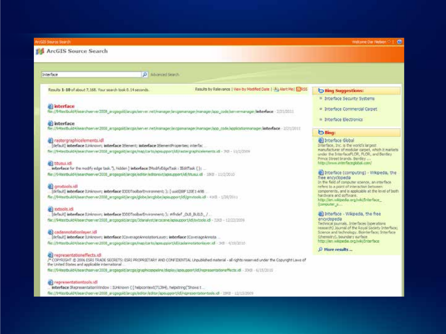| Anciūtis Source Search                                                                                                                                                                                                                                                                                                                                                                                                                                                            |                                                                                                                                                        | Walkzeite Dar Nichige 17  <br>$\sigma$                                                                                                                                                                                                                                                                                                                        |
|-----------------------------------------------------------------------------------------------------------------------------------------------------------------------------------------------------------------------------------------------------------------------------------------------------------------------------------------------------------------------------------------------------------------------------------------------------------------------------------|--------------------------------------------------------------------------------------------------------------------------------------------------------|---------------------------------------------------------------------------------------------------------------------------------------------------------------------------------------------------------------------------------------------------------------------------------------------------------------------------------------------------------------|
| <b>SH</b> ArcGIS Source Search                                                                                                                                                                                                                                                                                                                                                                                                                                                    |                                                                                                                                                        |                                                                                                                                                                                                                                                                                                                                                               |
| <b>Interface</b><br>O Advanced Search                                                                                                                                                                                                                                                                                                                                                                                                                                             |                                                                                                                                                        |                                                                                                                                                                                                                                                                                                                                                               |
| Results 1-10 of about 7,168. Your search took 0, 14 seconds.                                                                                                                                                                                                                                                                                                                                                                                                                      | Results by Relevance   View by Modified Date   A Latert Me   RIRSS                                                                                     | to Bing Suggestions:                                                                                                                                                                                                                                                                                                                                          |
| a) interface<br>file://94testbukd4isserdreever2008_arcgsgold/arcgs/server.net/inanager/arcgsmanager/nanager/app_code/servermanager/interface - 2/21/2011<br>e) interface<br>e) rastergraphicelements.idl.<br>[default] interface ILirknown; interface Itlement; interface ItlementProperties; interfac.<br>Ne://94testbuild4/searcheerver2008_arcgiogold/wrops/map/carto/apioupport/id/nastergraphicelements.idl - 793 - 11/2/3989<br><b>Relationship</b>                         | file://94teitbuild4/eaerchsenier2008_arcgopold/arcgo/senier.net/manager/arcgomanager/manager/app_code/applicationmanager/ <b>interface</b> - 2/21/2011 | <sup>Il</sup> Interface Security Systems<br># Interface Commercial Carpet<br># Interface Electronics<br><b>Shing:</b><br>b) Interface Global<br>Interface, Inc. is the world's largest.<br>manufacturer of modular carpet, which it markets<br>under the InterfaceR.OR, R.OR, and Bentley<br>Prince Street brands. Berroey<br>http://www.avterfaceglobal.com/ |
| interface for the nedify edge task."), hidden   interface INodifyEdgeTask : IEdETask ( ):<br>file://94testbuld4/searchserver2008_aropsgold/arops/editor/editorext/apisupport/id/titusui.idl - 1993 - 11/3/7010-<br>a) amstools.idl<br>[default] interface IUniverse; interface IUDDTosbarthwroment; ]; [ u.id(88F120E1-A98<br>fle://94testbuild4/searchserver2008_arcgiogold/arcgio/globe/arcglobe/apinupport/d9/gmxtools.idi - 41411 - 1/20/2011                                 |                                                                                                                                                        | iii) Interface (computing) - Wikipedia, the<br>free encyclopeda<br>In the field of computer science; an interface<br>refers to a point of interaction between.<br>components, and is applicable at the level of both.<br>hardware and software.<br>http://en.wikbedu.org/wki/Interface<br>(concuter p                                                         |
| a) setticels idi<br>[default] interface IUninover; interface IDDDTooberEnvironment; }; mmdef _OLB_BULD_ /<br>file://94testbukb4/searchserver2008_arcgisgold/anngs/3danalyst/ancscene/apisupport/id/isvtnois.idl - 1383 - 1273/2009<br>cadannotationlayer.idi<br>[default] interface Junimove; interface ICoverageArnotationLayer; interface ICoverageArnota<br>fle://tHtmlbuild4/searcheerver2008_eropspold/arcgs/map/cirto/qpsupport/df/cadarinotatoriayer.id - 3/8 - 4/19/2010- |                                                                                                                                                        | [8] Interface - Wkopedia, the free<br>encyclopedia<br>Technical journals. Interfaces (operations<br>research). Journal of the Royal Society Interface;<br>Science and bechnology. Bloinferface; Interface<br>(chemistry), boundary surface.<br>http://en.wikipedia.org/wiki/Interface-                                                                        |
| c) representationerfects.idl<br>the United States and applicable international.<br>Ne://94testbuild4/searchserver2008_arcgiogold/arcgis/graphicspoelne/deplay/apisupport/ld/representationeffects.id - 30x3 - 6/15/2010                                                                                                                                                                                                                                                           | P COPIRIGHT @ 2006 ESRI TRADE SECRETS: ESRI PROPREETARY AND CONFIDENTIAL Unpublished material - all rights reserved under the Copyright Laws of        | $D$ More results                                                                                                                                                                                                                                                                                                                                              |
| at representation tools.idi<br>Interface (RepresentationWindow: DJnknown { [ helpcontext(71394), helpstring("Shows t<br>fie://t-Nastbuild-tisearchaerver2008_arcgsgold/ancgs/editor/editor/apsupport/dj/representationtools.xB - 23FII - 11/11/2009                                                                                                                                                                                                                               |                                                                                                                                                        |                                                                                                                                                                                                                                                                                                                                                               |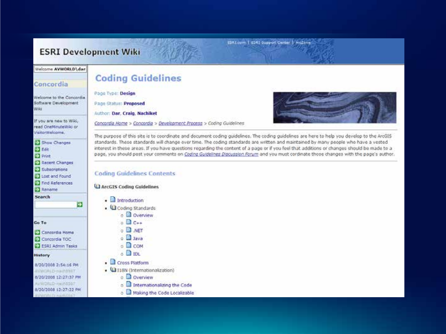### **ESRI Development Wiki**

#### Welcome AVWORLD\dar

Concordia

Wiki

Software Development

If you are new to Wiki.

read OneMnuteWiki or VisitorWelcome.

Show Changes<br>Existe

Recent Changes Subscriptions

Lost and Found Tind References

Concordia Home

ESRI Admin Tesks

8/20/2008 2:54:16 PM

ANWORLD-nach3957

8/20/2008 12:27:37 PM AVWORLD-roch5567

8/20/2008 12:27:22 PM

Concordia TOC

Ð

**EX** Rename Search

Go To

History

**D** Print

### **Coding Guidelines**

Page Type: Design Welcome to the Concordia

Page Status: Proposed

Author: Dar, Craig, Nachiket



Concordia Home > Concordia > Development Process > Coding Guidelines

The purpose of this site is to coordinate and document coding guidelines. The coding guidelines are here to help you develop to the ArcGIS standards. These standards will change over time. The coding standards are written and maintained by many people who have a vested interest in these areas. If you have questions regarding the content of a page or if you feel that additions or changes should be made to a page, you should post your comments on Coding Guidelines Discussion Forum and you must cordinate those changes with the page's author.

ESALizem | 6541 Support Center | AirZone

### **Coding Guidelines Contents**

### UJ ArcGIS Coding Guidelines

- · Introduction
- · Q Coding Standards
	- c a Overview
	- $\circ$   $2c...$
	- $\circ$  **B** NET
	- $\circ$   $\Box$  Java
	- $\circ$   $\Box$  COM
	- $\triangle$  D in
	-
- Cross Platform
- · **WILSN** (Internationalization)
	- o **Q** Overview
	- o **III** Internationalizing the Code
	- o Making the Code Localizable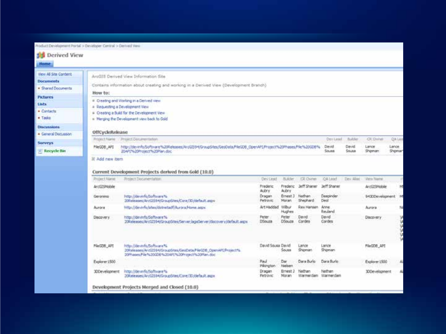| Rodutt Development Portal > Developer Central > Derived View |  |  |
|--------------------------------------------------------------|--|--|
|                                                              |  |  |
|                                                              |  |  |

### Derived View

### Home

### View All Site Content

#### **Documents**

· Shared Documents

#### **Pictures**

- tists
- $\triangle$  Contacts
- \* Tadia

#### **Discussions**

- General Discussion
- **Sorveys**
- **Recycle Bin**

### ArcGIS Derived View Information Site

Contains information about creating and working in a Derived View (Development Branch).

#### How to:

- # Creating and Working in a Dertved View
- a Requesting a Development View
- \* Creating a Build for the Development View
- II Merging the Development view back to Gold

#### OffCycleRelease

| <b>STATISTICS</b> SERVICES AND RESIDENCE. | Project Name - Project Documentation                                                                                                                                                                                                    |       |                       | Deviced Bubbe GLOsher OALer |                   |
|-------------------------------------------|-----------------------------------------------------------------------------------------------------------------------------------------------------------------------------------------------------------------------------------------|-------|-----------------------|-----------------------------|-------------------|
|                                           | FieGDB_API http://deverb/Software1920Refeases/ArcGSS94/GroupSites/GeoData/FieGDB_OperAPI/Prayect%20Phases/Fie1920GDB% Dievid<br>(1) 사진 이 사진 100% 이 사진 사진 2000년 100% 이 사진 사진 사진 사진 사진 사진 사진 사진 사진 사진 사진 사진<br>204/1%20Project%20Plan.doc | Soura | David<br><b>SOURA</b> | Lance<br>Shipman            | Lance.<br>Shipman |

### Ill Add new item

### Current Development Projects derived from Gold (10.0)

| Project Name:       | Project Documentation                                                                                                                       | Devisiond                       | <b>Builder</b>          | <b>CR Ovens</b>            | CALLING              | - Davi Allan | View Toame            |   |
|---------------------|---------------------------------------------------------------------------------------------------------------------------------------------|---------------------------------|-------------------------|----------------------------|----------------------|--------------|-----------------------|---|
| ArcGISMobile        |                                                                                                                                             | <b>Frederic</b><br><b>ALDYY</b> | Aubry                   | Frederic Jeff Shaner       | <b>Jeff Shaner</b>   |              | And C27 Short via     | 1 |
| Generates           | http://deverfo/Software%.<br>201eleases/ArcGIS94/GroupStes/Core/3D/default.aspx                                                             | Dragan<br>Petrovic              | Ernest<br>Moran         | <b>UNITARY</b><br>Shephard | Jeepinder<br>Deal.   |              | <b>MIDDevelopment</b> |   |
| Aurora              | http://devinfo/sites/doinetadf/Aurora/Hone.aspx                                                                                             |                                 | <b>Wilbur</b><br>Hughes | <b>RAV Hansy</b>           | Anne<br>Reuland      |              | Aurora                | 1 |
| Discovery           | http://devinfs/Software%"<br>20Releases/ArcGIS94/GroupSites/Server/ageServer/dacovery/default.aspx.<br><b>PERMIT RESIDENCE DE L'AN</b>      | Peter<br>DSouza                 | Peter<br>DSouth         | Davrd:<br>Condes           | David.<br>Condes     |              | Discovery             |   |
| FleCOS_APD          | Http://devinlo/Software%<br>20Releases/ArcGIS94/GroupStes/GeoData/FleG26_OpenAPLProject%<br>20Phases/File %20006%20AP1%20Project%20Plan.doc | David Sousa David               | SOURN                   | Lance<br>Shipman           | Lance<br>Shipman     |              | FiedD6_API            |   |
| Explorer 1500       | . IL CROSSING CONTROL DE TRANSPORTATION                                                                                                     | Paul<br>Prikington              | Dar<br>Nation           | Dara Burlo                 | Dara Burlo:          |              | Explorer 1500         |   |
| <b>XDevelopment</b> | http://devinfo/Software*%<br>20Releases/ArcGIS94/GroupStes/Core/3D/default.aspx                                                             | Dragan<br>Petrovic              | Ernest<br>Moran         | Nethan<br>VS BETRART FIART | Nathan<br>Viaimerdam |              | <b>XXX</b> evelopme   |   |
|                     |                                                                                                                                             |                                 |                         |                            |                      |              |                       |   |

Development Projects Merged and Closed (10.0)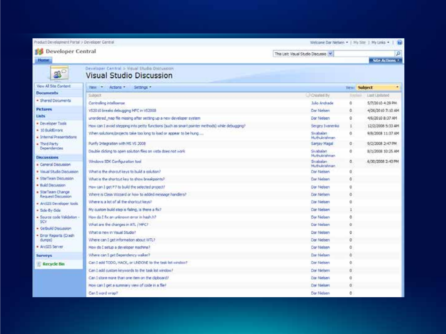| Product Development Portal > Developer Central |                                                                                                | Welcome Dar Netken .   My Site   My Links      |                | <b>Links</b>       |  |
|------------------------------------------------|------------------------------------------------------------------------------------------------|------------------------------------------------|----------------|--------------------|--|
| Developer Central<br>Home                      |                                                                                                | This List: Visual Studio Discussio (M)         |                | o<br>Nile Actions  |  |
| $B^{\circ}$                                    | Developer Central > Yimail Etudio Distussion<br><b>Visual Studio Discussion</b>                |                                                |                |                    |  |
| View All Site Content                          | New Actions<br>Settings *                                                                      |                                                | View: Subject  |                    |  |
| <b>Documents</b>                               | Subbect                                                                                        | O'Created By                                   | <b>Titrian</b> | Last Opdated       |  |
| · Shared Documents                             | Cantraling intelligence                                                                        | <b>Julo Andrade</b>                            | a              | 5/7/2010 4:29 PM   |  |
| <b>Pictures</b>                                | VS2010 breaks debugging HPC in VS2008                                                          | Day Nelsen                                     | ŏ              | 4/26/2010 7:10 AM  |  |
| <b>Lister</b>                                  | unordered, map hie missing after setting up a new developer system                             | Dar Nielsen                                    | ٥              | 4/6/2010 8:37 AM   |  |
| · Developer Tools                              | How can I avoid shipping into petty functions (such as snart pointer methods) while debugging? | Sergey Ivanenko                                |                | 12/2/2008 5:33 AM  |  |
| * 10 BuildErrore<br>· Internal Presentations   | When solutions ibrojects take too long to load or appear to be hung                            | Sivabalan<br>Muffsárlahnan.                    | o.             | 9/9/2008 11:37 AM  |  |
| . Third Party                                  | Purify Integration with MS VS 2008                                                             | Santay Magal                                   | O.             | 9/2/2008 2:47 PM   |  |
| Dependencies                                   | Double diding to open solution files on vista does not work.                                   | Svabalart                                      | ā.             | II/1/2008 10:25 AM |  |
| Discussions<br>· General Discussion            | Windows SDK Communistion tool                                                                  | Muthukrishnan<br>Svabalan<br>Müff kalelishinan | ō.             | 6/30/2008 2-43 PM  |  |
| * Visual Studio Discussion                     | What is the charact loys to build a colution?                                                  | Dar Nalsan                                     | ö              |                    |  |
| * StarTeam Discussion                          | What is the shortcut key to show breakpoints?                                                  | Dar Nielsen                                    | ۵              |                    |  |
| · Huld Discussion                              | How can I get F7 to build the selected project?                                                | Dar Nelsen                                     | ö              |                    |  |
| a: StarTwarn Changer<br>Request Discussion     | Where is Class Wizzard or how to added message handlers?                                       | Day Netham                                     | a              |                    |  |
| · ArcGIS Developer tools                       | Where is a list of all the shortcut keys?                                                      | <b>Ciar Nielsen</b>                            | ä              |                    |  |
| · Side-By-Side                                 | My custom build step is failing, is there a fix?                                               | Dar Nielsen                                    |                |                    |  |
| · Source code Validation -                     | How do I fix an unknown error in hash h?                                                       | Dar Nelsen                                     | õ              |                    |  |
| SCV<br>· Getbuild Discussion                   | What are the changes in ATL / NFC?                                                             | Dar Nelsen                                     | Ŭ.             |                    |  |
| . Error Reports (Crash)                        | What is new in Visual Studio?                                                                  | Dar Nelsen                                     | Q              |                    |  |
| dumps)                                         | Where can I get information about WR.?                                                         | Dar Nelsen                                     | 0              |                    |  |
| · ArcGIS Server                                | How do I setus a developer machine?                                                            | Dar Nielsen                                    | o              |                    |  |
| Surveys                                        | Where can I get Dependency waker?                                                              | Dar Nielsen                                    | ŏ              |                    |  |
| <b>Recycle Bin</b>                             | Can I add TODO, HACK, or UNDONE to the task lat mindow?                                        | Dar Nielsen                                    | ò.             |                    |  |
|                                                | Can I add custom keywords to the task lot window?                                              | Dar Nielsen                                    | ö              |                    |  |
|                                                | Can I store more than one item on the dipboard?                                                | Dar Nielsen                                    | ä              |                    |  |
|                                                | How can't get a summary view of code in a file?                                                | <b>Curi Nielsen</b>                            | ö              |                    |  |
|                                                | Can I word wrap?                                                                               | Dar Nielsen                                    | õ              |                    |  |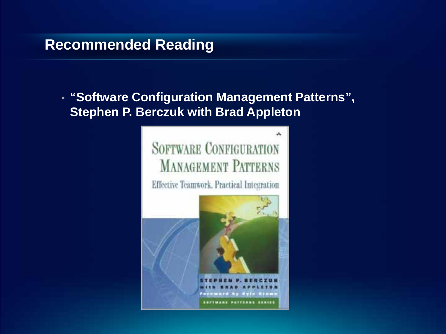## **Recommended Reading**

• **"Software Configuration Management Patterns", Stephen P. Berczuk with Brad Appleton**

> **SOFTWARE CONFIGURATION MANAGEMENT PATTERNS**

Effective Teamwork, Practical Integration